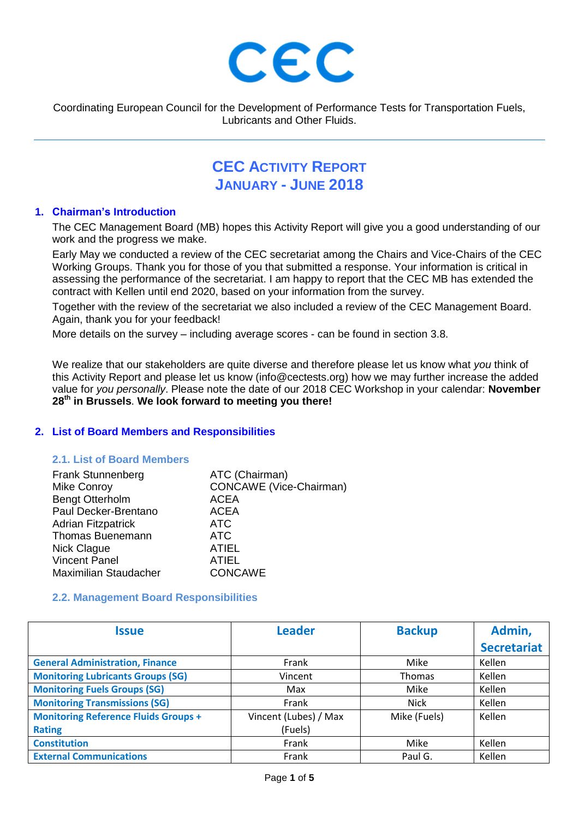

Coordinating European Council for the Development of Performance Tests for Transportation Fuels, Lubricants and Other Fluids.

# **CEC ACTIVITY REPORT JANUARY - JUNE 2018**

#### **1. Chairman's Introduction**

The CEC Management Board (MB) hopes this Activity Report will give you a good understanding of our work and the progress we make.

Early May we conducted a review of the CEC secretariat among the Chairs and Vice-Chairs of the CEC Working Groups. Thank you for those of you that submitted a response. Your information is critical in assessing the performance of the secretariat. I am happy to report that the CEC MB has extended the contract with Kellen until end 2020, based on your information from the survey.

Together with the review of the secretariat we also included a review of the CEC Management Board. Again, thank you for your feedback!

More details on the survey – including average scores - can be found in section 3.8.

We realize that our stakeholders are quite diverse and therefore please let us know what *you* think of this Activity Report and please let us know (info@cectests.org) how we may further increase the added value for *you personally*. Please note the date of our 2018 CEC Workshop in your calendar: **November 28th in Brussels**. **We look forward to meeting you there!**

## **2. List of Board Members and Responsibilities**

## **2.1. List of Board Members**

| <b>CONCAWE</b> (Vice-Chairman) |
|--------------------------------|
|                                |
|                                |
|                                |
|                                |
|                                |
|                                |
|                                |
|                                |

#### **2.2. Management Board Responsibilities**

| <b>Issue</b>                                | <b>Leader</b>         | <b>Backup</b> | Admin,             |
|---------------------------------------------|-----------------------|---------------|--------------------|
|                                             |                       |               | <b>Secretariat</b> |
| <b>General Administration, Finance</b>      | Frank                 | Mike          | Kellen             |
| <b>Monitoring Lubricants Groups (SG)</b>    | Vincent               | <b>Thomas</b> | Kellen             |
| <b>Monitoring Fuels Groups (SG)</b>         | Max                   | Mike          | Kellen             |
| <b>Monitoring Transmissions (SG)</b>        | Frank                 | <b>Nick</b>   | Kellen             |
| <b>Monitoring Reference Fluids Groups +</b> | Vincent (Lubes) / Max | Mike (Fuels)  | Kellen             |
| <b>Rating</b>                               | (Fuels)               |               |                    |
| <b>Constitution</b>                         | Frank                 | Mike          | Kellen             |
| <b>External Communications</b>              | Frank                 | Paul G.       | Kellen             |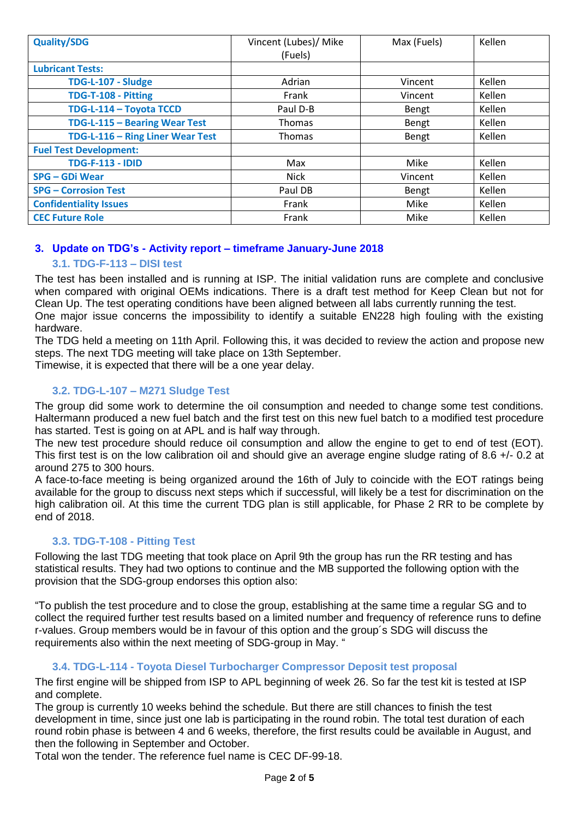| <b>Quality/SDG</b>               | Vincent (Lubes)/ Mike | Max (Fuels) | Kellen |
|----------------------------------|-----------------------|-------------|--------|
|                                  | (Fuels)               |             |        |
| <b>Lubricant Tests:</b>          |                       |             |        |
| TDG-L-107 - Sludge               | Adrian                | Vincent     | Kellen |
| TDG-T-108 - Pitting              | Frank                 | Vincent     | Kellen |
| TDG-L-114 - Toyota TCCD          | Paul D-B              | Bengt       | Kellen |
| TDG-L-115 - Bearing Wear Test    | <b>Thomas</b>         | Bengt       | Kellen |
| TDG-L-116 - Ring Liner Wear Test | <b>Thomas</b>         | Bengt       | Kellen |
| <b>Fuel Test Development:</b>    |                       |             |        |
| <b>TDG-F-113 - IDID</b>          | Max                   | Mike        | Kellen |
| SPG – GDi Wear                   | <b>Nick</b>           | Vincent     | Kellen |
| <b>SPG - Corrosion Test</b>      | Paul DB               | Bengt       | Kellen |
| <b>Confidentiality Issues</b>    | Frank                 | Mike        | Kellen |
| <b>CEC Future Role</b>           | Frank                 | Mike        | Kellen |

# **3. Update on TDG's - Activity report – timeframe January-June 2018**

# **3.1. TDG-F-113 – DISI test**

The test has been installed and is running at ISP. The initial validation runs are complete and conclusive when compared with original OEMs indications. There is a draft test method for Keep Clean but not for Clean Up. The test operating conditions have been aligned between all labs currently running the test. One major issue concerns the impossibility to identify a suitable EN228 high fouling with the existing hardware.

The TDG held a meeting on 11th April. Following this, it was decided to review the action and propose new steps. The next TDG meeting will take place on 13th September.

Timewise, it is expected that there will be a one year delay.

# **3.2. TDG-L-107 – M271 Sludge Test**

The group did some work to determine the oil consumption and needed to change some test conditions. Haltermann produced a new fuel batch and the first test on this new fuel batch to a modified test procedure has started. Test is going on at APL and is half way through.

The new test procedure should reduce oil consumption and allow the engine to get to end of test (EOT). This first test is on the low calibration oil and should give an average engine sludge rating of 8.6 +/- 0.2 at around 275 to 300 hours.

A face-to-face meeting is being organized around the 16th of July to coincide with the EOT ratings being available for the group to discuss next steps which if successful, will likely be a test for discrimination on the high calibration oil. At this time the current TDG plan is still applicable, for Phase 2 RR to be complete by end of 2018.

# **3.3. TDG-T-108 - Pitting Test**

Following the last TDG meeting that took place on April 9th the group has run the RR testing and has statistical results. They had two options to continue and the MB supported the following option with the provision that the SDG-group endorses this option also:

"To publish the test procedure and to close the group, establishing at the same time a regular SG and to collect the required further test results based on a limited number and frequency of reference runs to define r-values. Group members would be in favour of this option and the group´s SDG will discuss the requirements also within the next meeting of SDG-group in May. "

## **3.4. TDG-L-114 - Toyota Diesel Turbocharger Compressor Deposit test proposal**

The first engine will be shipped from ISP to APL beginning of week 26. So far the test kit is tested at ISP and complete.

The group is currently 10 weeks behind the schedule. But there are still chances to finish the test development in time, since just one lab is participating in the round robin. The total test duration of each round robin phase is between 4 and 6 weeks, therefore, the first results could be available in August, and then the following in September and October.

Total won the tender. The reference fuel name is CEC DF-99-18.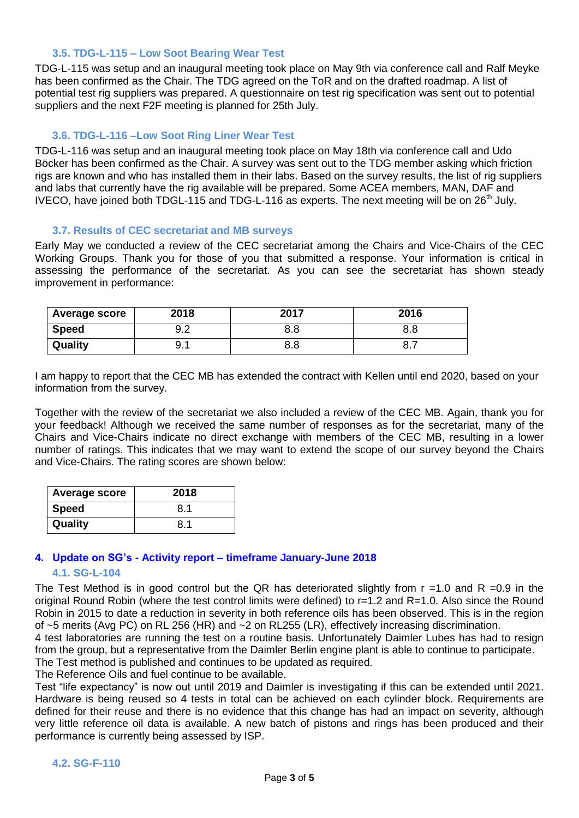#### **3.5. TDG-L-115 – Low Soot Bearing Wear Test**

TDG-L-115 was setup and an inaugural meeting took place on May 9th via conference call and Ralf Meyke has been confirmed as the Chair. The TDG agreed on the ToR and on the drafted roadmap. A list of potential test rig suppliers was prepared. A questionnaire on test rig specification was sent out to potential suppliers and the next F2F meeting is planned for 25th July.

## **3.6. TDG-L-116 –Low Soot Ring Liner Wear Test**

TDG-L-116 was setup and an inaugural meeting took place on May 18th via conference call and Udo Böcker has been confirmed as the Chair. A survey was sent out to the TDG member asking which friction rigs are known and who has installed them in their labs. Based on the survey results, the list of rig suppliers and labs that currently have the rig available will be prepared. Some ACEA members, MAN, DAF and IVECO, have joined both TDGL-115 and TDG-L-116 as experts. The next meeting will be on  $26<sup>th</sup>$  July.

#### **3.7. Results of CEC secretariat and MB surveys**

Early May we conducted a review of the CEC secretariat among the Chairs and Vice-Chairs of the CEC Working Groups. Thank you for those of you that submitted a response. Your information is critical in assessing the performance of the secretariat. As you can see the secretariat has shown steady improvement in performance:

| Average score | 2018 | 2017 | 2016 |
|---------------|------|------|------|
| <b>Speed</b>  | ے.כ  | 8.8  | o.o  |
| Quality       | . .  | 8.8  | ◡.≀  |

I am happy to report that the CEC MB has extended the contract with Kellen until end 2020, based on your information from the survey.

Together with the review of the secretariat we also included a review of the CEC MB. Again, thank you for your feedback! Although we received the same number of responses as for the secretariat, many of the Chairs and Vice-Chairs indicate no direct exchange with members of the CEC MB, resulting in a lower number of ratings. This indicates that we may want to extend the scope of our survey beyond the Chairs and Vice-Chairs. The rating scores are shown below:

| <b>Average score</b> | 2018 |
|----------------------|------|
| <b>Speed</b>         | 8.1  |
| Quality              | 8.1  |

## **4. Update on SG's - Activity report – timeframe January-June 2018**

#### **4.1. SG-L-104**

The Test Method is in good control but the QR has deteriorated slightly from  $r = 1.0$  and R = 0.9 in the original Round Robin (where the test control limits were defined) to r=1.2 and R=1.0. Also since the Round Robin in 2015 to date a reduction in severity in both reference oils has been observed. This is in the region of ~5 merits (Avg PC) on RL 256 (HR) and ~2 on RL255 (LR), effectively increasing discrimination.

4 test laboratories are running the test on a routine basis. Unfortunately Daimler Lubes has had to resign from the group, but a representative from the Daimler Berlin engine plant is able to continue to participate. The Test method is published and continues to be updated as required.

The Reference Oils and fuel continue to be available.

Test "life expectancy" is now out until 2019 and Daimler is investigating if this can be extended until 2021. Hardware is being reused so 4 tests in total can be achieved on each cylinder block. Requirements are defined for their reuse and there is no evidence that this change has had an impact on severity, although very little reference oil data is available. A new batch of pistons and rings has been produced and their performance is currently being assessed by ISP.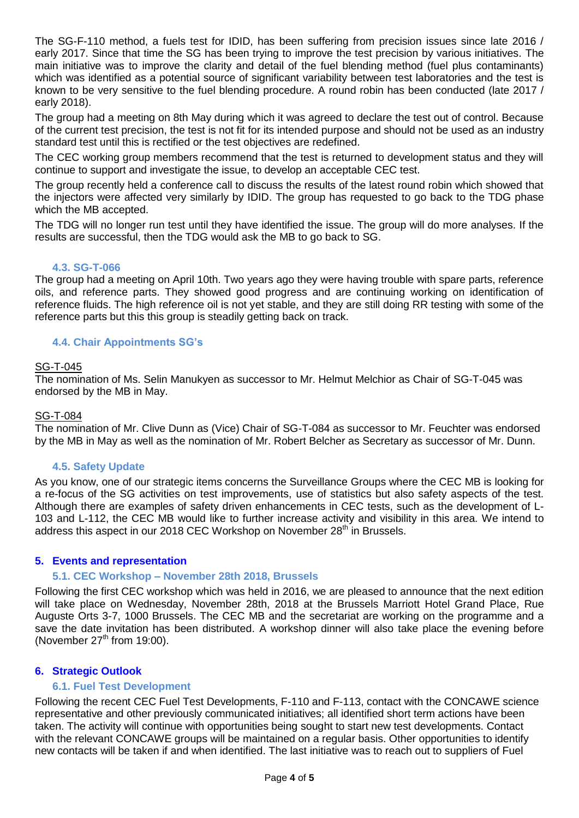The SG-F-110 method, a fuels test for IDID, has been suffering from precision issues since late 2016 / early 2017. Since that time the SG has been trying to improve the test precision by various initiatives. The main initiative was to improve the clarity and detail of the fuel blending method (fuel plus contaminants) which was identified as a potential source of significant variability between test laboratories and the test is known to be very sensitive to the fuel blending procedure. A round robin has been conducted (late 2017 / early 2018).

The group had a meeting on 8th May during which it was agreed to declare the test out of control. Because of the current test precision, the test is not fit for its intended purpose and should not be used as an industry standard test until this is rectified or the test objectives are redefined.

The CEC working group members recommend that the test is returned to development status and they will continue to support and investigate the issue, to develop an acceptable CEC test.

The group recently held a conference call to discuss the results of the latest round robin which showed that the injectors were affected very similarly by IDID. The group has requested to go back to the TDG phase which the MB accepted.

The TDG will no longer run test until they have identified the issue. The group will do more analyses. If the results are successful, then the TDG would ask the MB to go back to SG.

## **4.3. SG-T-066**

The group had a meeting on April 10th. Two years ago they were having trouble with spare parts, reference oils, and reference parts. They showed good progress and are continuing working on identification of reference fluids. The high reference oil is not yet stable, and they are still doing RR testing with some of the reference parts but this this group is steadily getting back on track.

## **4.4. Chair Appointments SG's**

#### SG-T-045

The nomination of Ms. Selin Manukyen as successor to Mr. Helmut Melchior as Chair of SG-T-045 was endorsed by the MB in May.

#### SG-T-084

The nomination of Mr. Clive Dunn as (Vice) Chair of SG-T-084 as successor to Mr. Feuchter was endorsed by the MB in May as well as the nomination of Mr. Robert Belcher as Secretary as successor of Mr. Dunn.

## **4.5. Safety Update**

As you know, one of our strategic items concerns the Surveillance Groups where the CEC MB is looking for a re-focus of the SG activities on test improvements, use of statistics but also safety aspects of the test. Although there are examples of safety driven enhancements in CEC tests, such as the development of L-103 and L-112, the CEC MB would like to further increase activity and visibility in this area. We intend to address this aspect in our 2018 CEC Workshop on November 28<sup>th</sup> in Brussels.

## **5. Events and representation**

## **5.1. CEC Workshop – November 28th 2018, Brussels**

Following the first CEC workshop which was held in 2016, we are pleased to announce that the next edition will take place on Wednesday, November 28th, 2018 at the Brussels Marriott Hotel Grand Place, Rue Auguste Orts 3-7, 1000 Brussels. The CEC MB and the secretariat are working on the programme and a save the date invitation has been distributed. A workshop dinner will also take place the evening before (November  $27<sup>th</sup>$  from 19:00).

## **6. Strategic Outlook**

## **6.1. Fuel Test Development**

Following the recent CEC Fuel Test Developments, F-110 and F-113, contact with the CONCAWE science representative and other previously communicated initiatives; all identified short term actions have been taken. The activity will continue with opportunities being sought to start new test developments. Contact with the relevant CONCAWE groups will be maintained on a regular basis. Other opportunities to identify new contacts will be taken if and when identified. The last initiative was to reach out to suppliers of Fuel